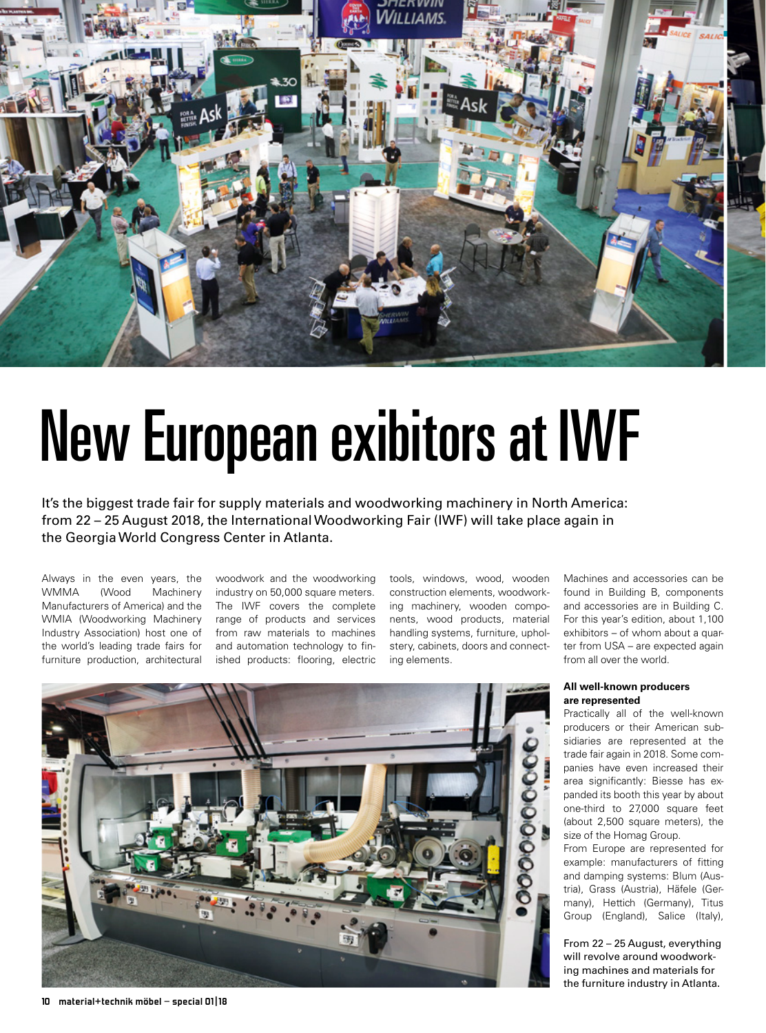

# New European exibitors at IWF

It's the biggest trade fair for supply materials and woodworking machinery in North America: from 22 – 25 August 2018, the International Woodworking Fair (IWF) will take place again in the Georgia World Congress Center in Atlanta.

Always in the even years, the WMMA (Wood Machinery Manufacturers of America) and the WMIA (Woodworking Machinery Industry Association) host one of the world's leading trade fairs for furniture production, architectural

woodwork and the woodworking industry on 50,000 square meters. The IWF covers the complete range of products and services from raw materials to machines and automation technology to finished products: flooring, electric

tools, windows, wood, wooden construction elements, woodworking machinery, wooden components, wood products, material handling systems, furniture, upholstery, cabinets, doors and connecting elements.

Machines and accessories can be found in Building B, components and accessories are in Building C. For this year's edition, about 1,100 exhibitors – of whom about a quarter from USA – are expected again from all over the world.

#### **All well-known producers are represented**

Practically all of the well-known producers or their American subsidiaries are represented at the trade fair again in 2018. Some companies have even increased their area significantly: Biesse has expanded its booth this year by about one-third to 27,000 square feet (about 2,500 square meters), the size of the Homag Group.

From Europe are represented for example: manufacturers of fitting and damping systems: Blum (Austria), Grass (Austria), Häfele (Germany), Hettich (Germany), Titus Group (England), Salice (Italy),

From 22 – 25 August, everything will revolve around woodworking machines and materials for the furniture industry in Atlanta.

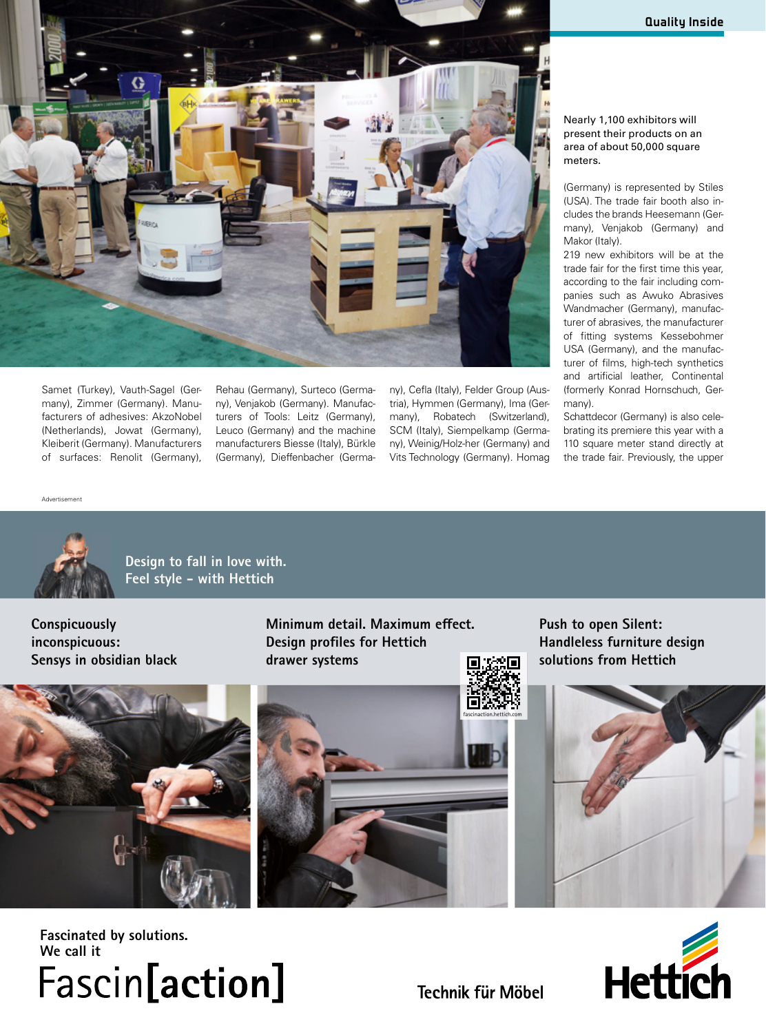

Samet (Turkey), Vauth-Sagel (Germany), Zimmer (Germany). Manufacturers of adhesives: AkzoNobel (Netherlands), Jowat (Germany), Kleiberit (Germany). Manufacturers of surfaces: Renolit (Germany),

Rehau (Germany), Surteco (Germany), Venjakob (Germany). Manufacturers of Tools: Leitz (Germany), Leuco (Germany) and the machine manufacturers Biesse (Italy), Bürkle (Germany), Dieffenbacher (Germa-

ny), Cefla (Italy), Felder Group (Austria), Hymmen (Germany), Ima (Germany), Robatech (Switzerland), SCM (Italy), Siempelkamp (Germany), Weinig/Holz-her (Germany) and Vits Technology (Germany). Homag Nearly 1,100 exhibitors will present their products on an area of about 50,000 square meters.

(Germany) is represented by Stiles (USA). The trade fair booth also includes the brands Heesemann (Germany), Venjakob (Germany) and Makor (Italy).

219 new exhibitors will be at the trade fair for the first time this year, according to the fair including companies such as Awuko Abrasives Wandmacher (Germany), manufacturer of abrasives, the manufacturer of fitting systems Kessebohmer USA (Germany), and the manufacturer of films, high-tech synthetics and artificial leather, Continental (formerly Konrad Hornschuch, Germany).

Schattdecor (Germany) is also celebrating its premiere this year with a 110 square meter stand directly at the trade fair. Previously, the upper

Advertisement



**Design to fall in love with. Feel style - with Hettich**

**Conspicuously inconspicuous: Sensys in obsidian black** **Minimum detail. Maximum effect. Design profiles for Hettich drawer systems**

**Push to open Silent: Handleless furniture design solutions from Hettich** 







**Fascinated by solutions. We call it**  Fascin[action]



**Technik für Möbel**